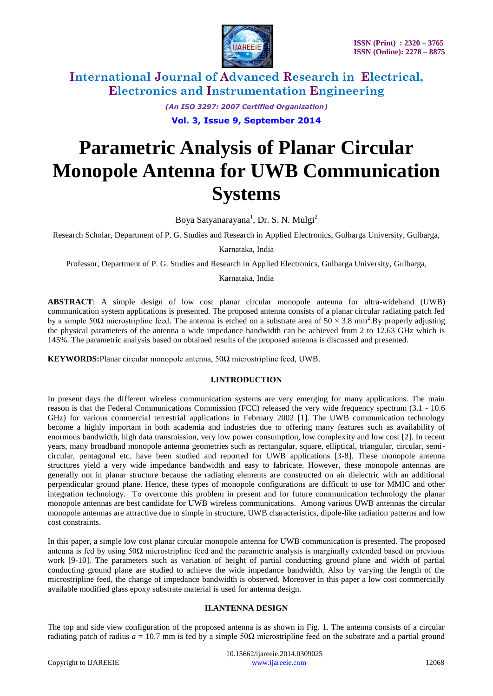

> *(An ISO 3297: 2007 Certified Organization)* **Vol. 3, Issue 9, September 2014**

# **Parametric Analysis of Planar Circular Monopole Antenna for UWB Communication Systems**

Boya Satyanarayana<sup>1</sup>, Dr. S. N. Mulgi<sup>2</sup>

Research Scholar, Department of P. G. Studies and Research in Applied Electronics, Gulbarga University, Gulbarga,

Karnataka, India

Professor, Department of P. G. Studies and Research in Applied Electronics, Gulbarga University, Gulbarga,

Karnataka, India

**ABSTRACT**: A simple design of low cost planar circular monopole antenna for ultra-wideband (UWB) communication system applications is presented. The proposed antenna consists of a planar circular radiating patch fed by a simple 50 $\Omega$  microstripline feed. The antenna is etched on a substrate area of 50  $\times$  3.8 mm<sup>2</sup>. By properly adjusting the physical parameters of the antenna a wide impedance bandwidth can be achieved from 2 to 12.63 GHz which is 145%. The parametric analysis based on obtained results of the proposed antenna is discussed and presented.

**KEYWORDS:**Planar circular monopole antenna,  $50\Omega$  microstripline feed, UWB.

#### **I.INTRODUCTION**

In present days the different wireless communication systems are very emerging for many applications. The main reason is that the Federal Communications Commission (FCC) released the very wide frequency spectrum (3.1 - 10.6 GHz) for various commercial terrestrial applications in February 2002 [1]. The UWB communication technology become a highly important in both academia and industries due to offering many features such as availability of enormous bandwidth, high data transmission, very low power consumption, low complexity and low cost [2]. In recent years, many broadband monopole antenna geometries such as rectangular, square, elliptical, triangular, circular, semicircular, pentagonal etc. have been studied and reported for UWB applications [3-8]. These monopole antenna structures yield a very wide impedance bandwidth and easy to fabricate. However, these monopole antennas are generally not in planar structure because the radiating elements are constructed on air dielectric with an additional perpendicular ground plane. Hence, these types of monopole configurations are difficult to use for MMIC and other integration technology. To overcome this problem in present and for future communication technology the planar monopole antennas are best candidate for UWB wireless communications. Among various UWB antennas the circular monopole antennas are attractive due to simple in structure, UWB characteristics, dipole-like radiation patterns and low cost constraints.

In this paper, a simple low cost planar circular monopole antenna for UWB communication is presented. The proposed antenna is fed by using  $50\Omega$  microstripline feed and the parametric analysis is marginally extended based on previous work [9-10]. The parameters such as variation of height of partial conducting ground plane and width of partial conducting ground plane are studied to achieve the wide impedance bandwidth. Also by varying the length of the microstripline feed, the change of impedance bandwidth is observed. Moreover in this paper a low cost commercially available modified glass epoxy substrate material is used for antenna design.

#### **II.ANTENNA DESIGN**

The top and side view configuration of the proposed antenna is as shown in Fig. 1. The antenna consists of a circular radiating patch of radius  $a = 10.7$  mm is fed by a simple 50Ω microstripline feed on the substrate and a partial ground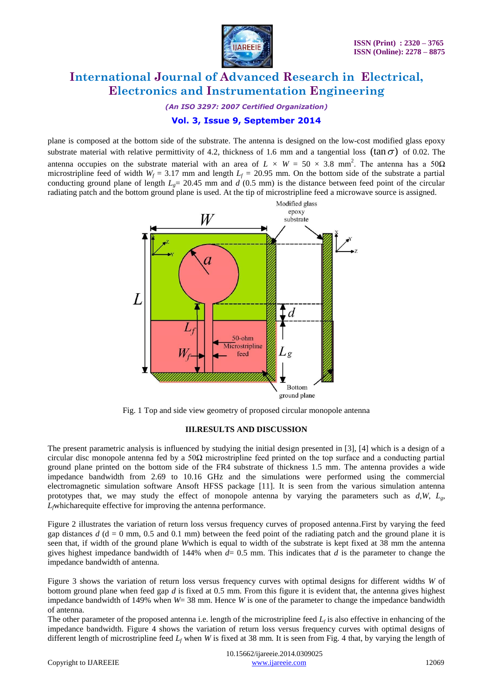

*(An ISO 3297: 2007 Certified Organization)*

### **Vol. 3, Issue 9, September 2014**

plane is composed at the bottom side of the substrate. The antenna is designed on the low-cost modified glass epoxy substrate material with relative permittivity of 4.2, thickness of 1.6 mm and a tangential loss  $(\tan \sigma)$  of 0.02. The antenna occupies on the substrate material with an area of  $L \times W = 50 \times 3.8$  mm<sup>2</sup>. The antenna has a 50 $\Omega$ microstripline feed of width  $W_f = 3.17$  mm and length  $L_f = 20.95$  mm. On the bottom side of the substrate a partial conducting ground plane of length  $L<sub>g</sub> = 20.45$  mm and *d* (0.5 mm) is the distance between feed point of the circular radiating patch and the bottom ground plane is used. At the tip of microstripline feed a microwave source is assigned.



Fig. 1 Top and side view geometry of proposed circular monopole antenna

#### **III.RESULTS AND DISCUSSION**

The present parametric analysis is influenced by studying the initial design presented in [3], [4] which is a design of a circular disc monopole antenna fed by a 50 $\Omega$  microstripline feed printed on the top surface and a conducting partial ground plane printed on the bottom side of the FR4 substrate of thickness 1.5 mm. The antenna provides a wide impedance bandwidth from 2.69 to 10.16 GHz and the simulations were performed using the commercial electromagnetic simulation software Ansoft HFSS package [11]. It is seen from the various simulation antenna prototypes that, we may study the effect of monopole antenna by varying the parameters such as  $d, W, L_g$ , *Lf*whicharequite effective for improving the antenna performance.

Figure 2 illustrates the variation of return loss versus frequency curves of proposed antenna.First by varying the feed gap distances  $d$  ( $d = 0$  mm, 0.5 and 0.1 mm) between the feed point of the radiating patch and the ground plane it is seen that, if width of the ground plane *W*which is equal to width of the substrate is kept fixed at 38 mm the antenna gives highest impedance bandwidth of 144% when  $d= 0.5$  mm. This indicates that  $d$  is the parameter to change the impedance bandwidth of antenna.

Figure 3 shows the variation of return loss versus frequency curves with optimal designs for different widths *W* of bottom ground plane when feed gap *d* is fixed at 0.5 mm. From this figure it is evident that, the antenna gives highest impedance bandwidth of 149% when *W*= 38 mm. Hence *W* is one of the parameter to change the impedance bandwidth of antenna.

The other parameter of the proposed antenna i.e. length of the microstripline feed  $L_f$  is also effective in enhancing of the impedance bandwidth. Figure 4 shows the variation of return loss versus frequency curves with optimal designs of different length of microstripline feed *L<sup>f</sup>* when *W* is fixed at 38 mm. It is seen from Fig. 4 that, by varying the length of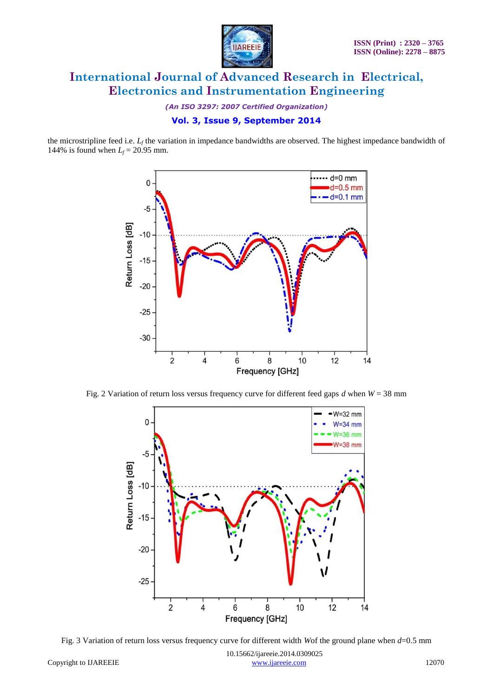

*(An ISO 3297: 2007 Certified Organization)*

### **Vol. 3, Issue 9, September 2014**

the microstripline feed i.e.  $L_f$  the variation in impedance bandwidths are observed. The highest impedance bandwidth of 144% is found when  $L_f = 20.95$  mm.



Fig. 2 Variation of return loss versus frequency curve for different feed gaps *d* when *W* = 38 mm



Fig. 3 Variation of return loss versus frequency curve for different width *W*of the ground plane when *d*=0.5 mm

 10.15662/ijareeie.2014.0309025 Copyright to IJAREEIE [www.ijareeie.com](http://www.ijareeie.com/) 12070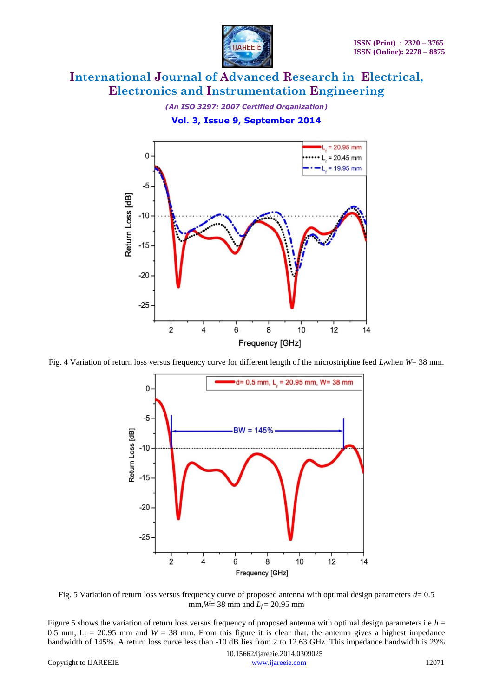

*(An ISO 3297: 2007 Certified Organization)* **Vol. 3, Issue 9, September 2014**



Fig. 4 Variation of return loss versus frequency curve for different length of the microstripline feed *Lf*when *W*= 38 mm.



Fig. 5 Variation of return loss versus frequency curve of proposed antenna with optimal design parameters *d*= 0.5 mm,  $W = 38$  mm and  $L_f = 20.95$  mm

Figure 5 shows the variation of return loss versus frequency of proposed antenna with optimal design parameters i.e.*h* = 0.5 mm,  $L_f = 20.95$  mm and  $W = 38$  mm. From this figure it is clear that, the antenna gives a highest impedance bandwidth of 145%. A return loss curve less than -10 dB lies from 2 to 12.63 GHz. This impedance bandwidth is 29%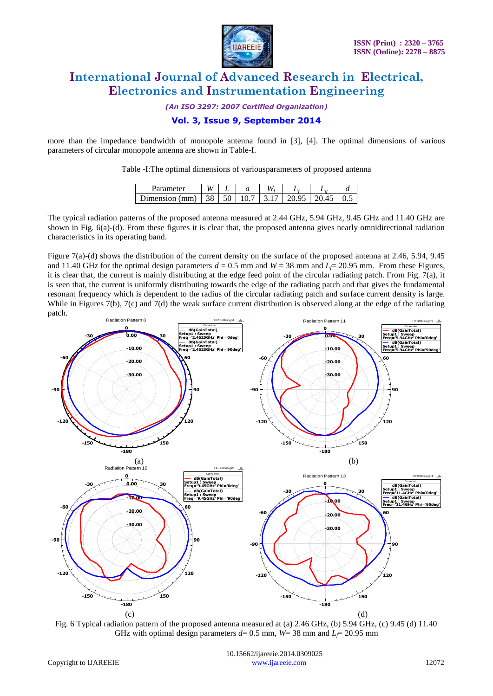

*(An ISO 3297: 2007 Certified Organization)*

### **Vol. 3, Issue 9, September 2014**

more than the impedance bandwidth of monopole antenna found in [3], [4]. The optimal dimensions of various parameters of circular monopole antenna are shown in Table-I.

Table -I:The optimal dimensions of variousparameters of proposed antenna

| Parameter      | <b>TT</b><br>V. |              |             | ∸  |  |
|----------------|-----------------|--------------|-------------|----|--|
| )imension (mm) | 38              | 50<br>◡<br>◡ | $^{\prime}$ | ്പ |  |

The typical radiation patterns of the proposed antenna measured at 2.44 GHz, 5.94 GHz, 9.45 GHz and 11.40 GHz are shown in Fig. 6(a)-(d). From these figures it is clear that, the proposed antenna gives nearly omnidirectional radiation characteristics in its operating band.

Figure 7(a)-(d) shows the distribution of the current density on the surface of the proposed antenna at 2.46, 5.94, 9.45 and 11.40 GHz for the optimal design parameters  $d = 0.5$  mm and  $W = 38$  mm and  $L_f = 20.95$  mm. From these Figures, it is clear that, the current is mainly distributing at the edge feed point of the circular radiating patch. From Fig. 7(a), it is seen that, the current is uniformly distributing towards the edge of the radiating patch and that gives the fundamental resonant frequency which is dependent to the radius of the circular radiating patch and surface current density is large. While in Figures 7(b), 7(c) and 7(d) the weak surface current distribution is observed along at the edge of the radiating patch.



Fig. 6 Typical radiation pattern of the proposed antenna measured at (a) 2.46 GHz, (b) 5.94 GHz, (c) 9.45 (d) 11.40 GHz with optimal design parameters  $d= 0.5$  mm,  $W= 38$  mm and  $L \neq 20.95$  mm

 10.15662/ijareeie.2014.0309025 Copyright to IJAREEIE [www.ijareeie.com](http://www.ijareeie.com/) 12072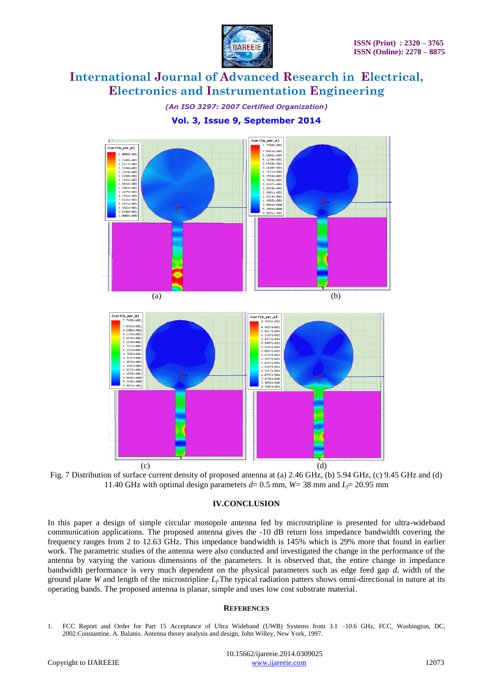

*(An ISO 3297: 2007 Certified Organization)* **Vol. 3, Issue 9, September 2014**

ПT. Jsurf[A\_per\_m] JsurffA ner ml .<br>0463e+00;<br>8.5805e+00; 3. 8888 + 882 : 7106e+002<br>: 7106e+002<br>: 5177e+002<br>: 1319e+002<br>: 9390e+002 5.114664001<br>5.648864001<br>5.183064001<br>4.251464001<br>4.251464001 3.7856e+00 . 7461e+00<br>. 5532e+00 ..3603e+00<br>..1674e+00<br>..7452e+00<br>..8161e+00<br>..8871e+00 85396+06<br>38816+06 . 38816+00:<br>. 92236+00:<br>. 45656+00:<br>. 90666+00: . 9581e+00<br>.0290e+00 5.2485e+06<br>5.9031e=06  $(a)$  (b) surf[A\_per\_n] JsurffA per nl -----<br>4593e -<br>6.5805e+001<br>6.1146e+001<br>5.440e+001 . 9687e+00<br>. 6417e+00 9997#+00 ----<br>984  $(c)$  (c)



#### **IV.CONCLUSION**

In this paper a design of simple circular monopole antenna fed by microstripline is presented for ultra-wideband communication applications. The proposed antenna gives the -10 dB return loss impedance bandwidth covering the frequency ranges from 2 to 12.63 GHz. This impedance bandwidth is 145% which is 29% more that found in earlier work. The parametric studies of the antenna were also conducted and investigated the change in the performance of the antenna by varying the various dimensions of the parameters. It is observed that, the entire change in impedance bandwidth performance is very much dependent on the physical parameters such as edge feed gap *d*, width of the ground plane *W* and length of the microstripline *L<sup>f</sup>* .The typical radiation patters shows omni-directional in nature at its operating bands. The proposed antenna is planar, simple and uses low cost substrate material.

#### **REFERENCES**

1. FCC Report and Order for Part 15 Acceptance of Ultra Wideband (UWB) Systems from 3.1 –10.6 GHz, FCC, Washington, DC, 2002.Constantine. A. Balanis. Antenna theory analysis and design, John Willey*,* New York, 1997.